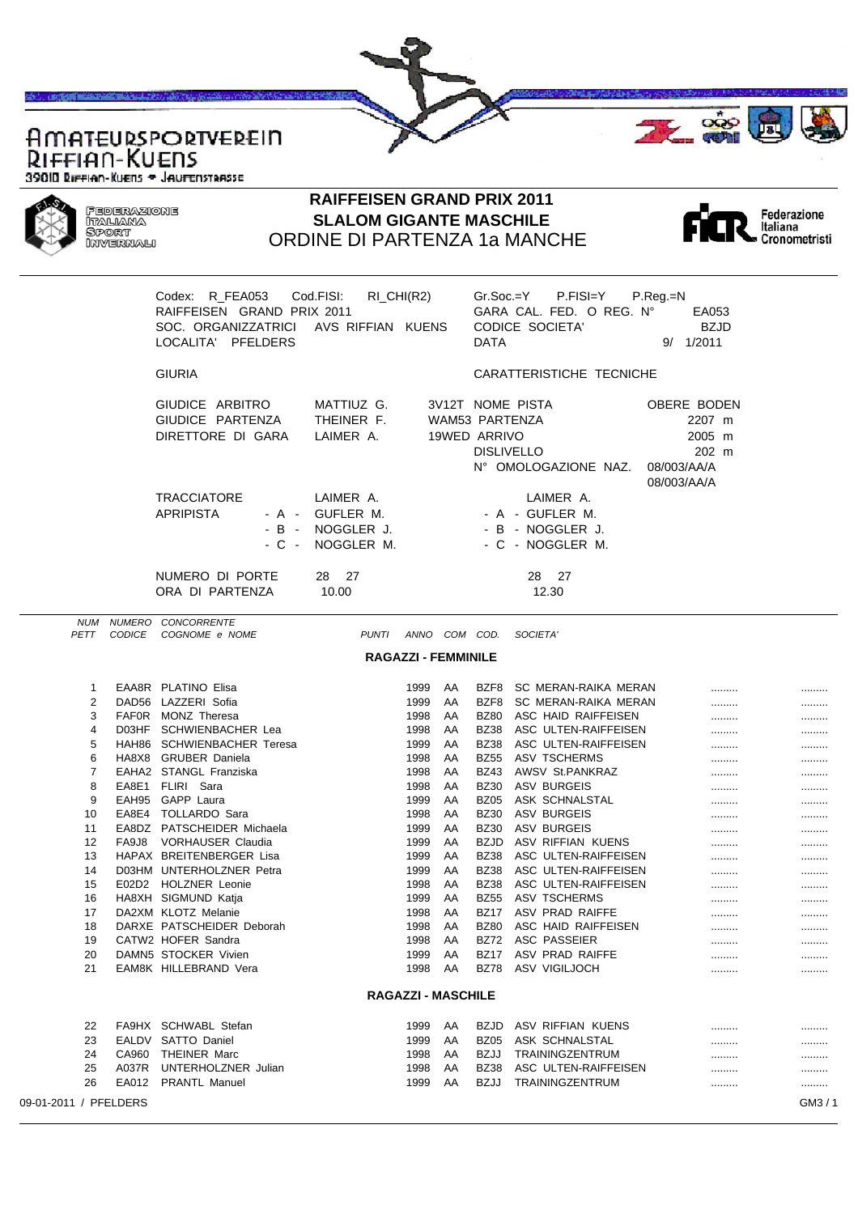

ORDINE DI PARTENZA 1a MANCHE



|                       |                | Codex: R_FEA053<br>RAIFFEISEN GRAND PRIX 2011<br>SOC. ORGANIZZATRICI<br>LOCALITA' PFELDERS  | Cod.FISI:<br>$RI_CHI(R2)$<br>AVS RIFFIAN KUENS     |                           |          | $Gr.Soc = Y$<br>DATA           | P.FISI=Y<br>GARA CAL. FED. O REG. N°<br><b>CODICE SOCIETA'</b>       | P.Reg.=N<br>EA053<br><b>BZJD</b><br>$9/$ 1/2011                        |         |
|-----------------------|----------------|---------------------------------------------------------------------------------------------|----------------------------------------------------|---------------------------|----------|--------------------------------|----------------------------------------------------------------------|------------------------------------------------------------------------|---------|
|                       |                | <b>GIURIA</b>                                                                               |                                                    |                           |          |                                | CARATTERISTICHE TECNICHE                                             |                                                                        |         |
|                       |                | GIUDICE ARBITRO<br>GIUDICE PARTENZA<br>DIRETTORE DI GARA                                    | MATTIUZ G.<br>THEINER F.<br>LAIMER A.              |                           |          | WAM53 PARTENZA<br>19WED ARRIVO | 3V12T NOME PISTA<br><b>DISLIVELLO</b><br>N° OMOLOGAZIONE NAZ.        | OBERE BODEN<br>2207 m<br>2005 m<br>202 m<br>08/003/AA/A<br>08/003/AA/A |         |
|                       |                | <b>TRACCIATORE</b><br><b>APRIPISTA</b><br>- A -<br>- B<br>$\overline{\phantom{a}}$<br>- C - | LAIMER A.<br>GUFLER M.<br>NOGGLER J.<br>NOGGLER M. |                           |          |                                | LAIMER A.<br>- A - GUFLER M.<br>- B - NOGGLER J.<br>- C - NOGGLER M. |                                                                        |         |
|                       |                | NUMERO DI PORTE<br>ORA DI PARTENZA                                                          | 28 27<br>10.00                                     |                           |          |                                | 28 27<br>12.30                                                       |                                                                        |         |
| NUM<br>PETT           | <b>CODICE</b>  | NUMERO CONCORRENTE<br>COGNOME e NOME                                                        | PUNTI                                              | ANNO COM COD.             |          |                                | SOCIETA'                                                             |                                                                        |         |
|                       |                |                                                                                             | <b>RAGAZZI - FEMMINILE</b>                         |                           |          |                                |                                                                      |                                                                        |         |
|                       |                |                                                                                             |                                                    |                           |          |                                |                                                                      |                                                                        |         |
| 1<br>2                |                | EAA8R PLATINO Elisa<br>DAD56 LAZZERI Sofia                                                  |                                                    | 1999<br>1999              | AA<br>AA | BZF8<br>BZF8                   | SC MERAN-RAIKA MERAN<br>SC MERAN-RAIKA MERAN                         | .<br>.                                                                 | <br>    |
| 3                     |                | FAFOR MONZ Theresa                                                                          |                                                    | 1998                      | AA       | <b>BZ80</b>                    | ASC HAID RAIFFEISEN                                                  |                                                                        |         |
| 4                     |                | D03HF SCHWIENBACHER Lea                                                                     |                                                    | 1998                      | AA       | <b>BZ38</b>                    | ASC ULTEN-RAIFFEISEN                                                 |                                                                        |         |
| 5                     |                | HAH86 SCHWIENBACHER Teresa                                                                  |                                                    | 1999                      | AA       | <b>BZ38</b>                    | ASC ULTEN-RAIFFEISEN                                                 |                                                                        |         |
| 6<br>7                |                | HA8X8 GRUBER Daniela<br>EAHA2 STANGL Franziska                                              |                                                    | 1998                      | AA       | <b>BZ55</b>                    | <b>ASV TSCHERMS</b>                                                  |                                                                        |         |
| 8                     |                | EA8E1 FLIRI Sara                                                                            |                                                    | 1998<br>1998              | AA<br>AA | <b>BZ43</b><br><b>BZ30</b>     | AWSV St.PANKRAZ<br>ASV BURGEIS                                       |                                                                        |         |
| 9                     |                | EAH95 GAPP Laura                                                                            |                                                    | 1999                      | AA       | <b>BZ05</b>                    | ASK SCHNALSTAL                                                       | <br>.                                                                  | <br>    |
| 10                    |                | EA8E4 TOLLARDO Sara                                                                         |                                                    | 1998                      | AA       | <b>BZ30</b>                    | ASV BURGEIS                                                          | .                                                                      |         |
| 11                    |                | EA8DZ PATSCHEIDER Michaela                                                                  |                                                    | 1999                      | AA       | <b>BZ30</b>                    | ASV BURGEIS                                                          |                                                                        |         |
| 12                    | FA9J8          | VORHAUSER Claudia                                                                           |                                                    | 1999                      | AA       | <b>BZJD</b>                    | ASV RIFFIAN KUENS                                                    |                                                                        |         |
| 13<br>14              |                | HAPAX BREITENBERGER Lisa<br>D03HM UNTERHOLZNER Petra                                        |                                                    | 1999<br>1999              | AA<br>AA | <b>BZ38</b><br><b>BZ38</b>     | ASC ULTEN-RAIFFEISEN<br>ASC ULTEN-RAIFFEISEN                         |                                                                        |         |
| 15                    |                | E02D2 HOLZNER Leonie                                                                        |                                                    | 1998                      | AA       | <b>BZ38</b>                    | ASC ULTEN-RAIFFEISEN                                                 |                                                                        |         |
| 16                    |                | HA8XH SIGMUND Katja                                                                         |                                                    | 1999                      | AA       | <b>BZ55</b>                    | <b>ASV TSCHERMS</b>                                                  | <br>                                                                   | <br>    |
| 17                    |                | DA2XM KLOTZ Melanie                                                                         |                                                    | 1998                      | AA       |                                | BZ17 ASV PRAD RAIFFE                                                 |                                                                        |         |
| 18                    |                | DARXE PATSCHEIDER Deborah                                                                   |                                                    | 1998                      | AA       | <b>BZ80</b>                    | ASC HAID RAIFFEISEN                                                  |                                                                        |         |
| 19                    |                | CATW2 HOFER Sandra                                                                          |                                                    | 1998                      | AA       | BZ72                           | ASC PASSEIER                                                         |                                                                        |         |
| 20<br>21              |                | DAMN5 STOCKER Vivien                                                                        |                                                    | 1999                      | AA       | <b>BZ17</b>                    | ASV PRAD RAIFFE                                                      |                                                                        |         |
|                       |                | EAM8K HILLEBRAND Vera                                                                       |                                                    | 1998                      | AA       | <b>BZ78</b>                    | ASV VIGILJOCH                                                        |                                                                        |         |
|                       |                |                                                                                             |                                                    | <b>RAGAZZI - MASCHILE</b> |          |                                |                                                                      |                                                                        |         |
| 22                    |                | FA9HX SCHWABL Stefan                                                                        |                                                    | 1999                      | AA       | <b>BZJD</b>                    | ASV RIFFIAN KUENS                                                    |                                                                        |         |
| 23                    |                | EALDV SATTO Daniel                                                                          |                                                    | 1999                      | AA       | BZ05                           | ASK SCHNALSTAL                                                       |                                                                        |         |
| 24<br>25              | CA960<br>A037R | <b>THEINER Marc</b><br>UNTERHOLZNER Julian                                                  |                                                    | 1998                      | AA<br>AA | BZJJ<br><b>BZ38</b>            | TRAININGZENTRUM                                                      |                                                                        |         |
| 26                    | EA012          | <b>PRANTL Manuel</b>                                                                        |                                                    | 1998<br>1999              | AA       | BZJJ                           | ASC ULTEN-RAIFFEISEN<br>TRAININGZENTRUM                              | .<br>.                                                                 | <br>    |
| 09-01-2011 / PFELDERS |                |                                                                                             |                                                    |                           |          |                                |                                                                      |                                                                        | GM3 / 1 |
|                       |                |                                                                                             |                                                    |                           |          |                                |                                                                      |                                                                        |         |
|                       |                |                                                                                             |                                                    |                           |          |                                |                                                                      |                                                                        |         |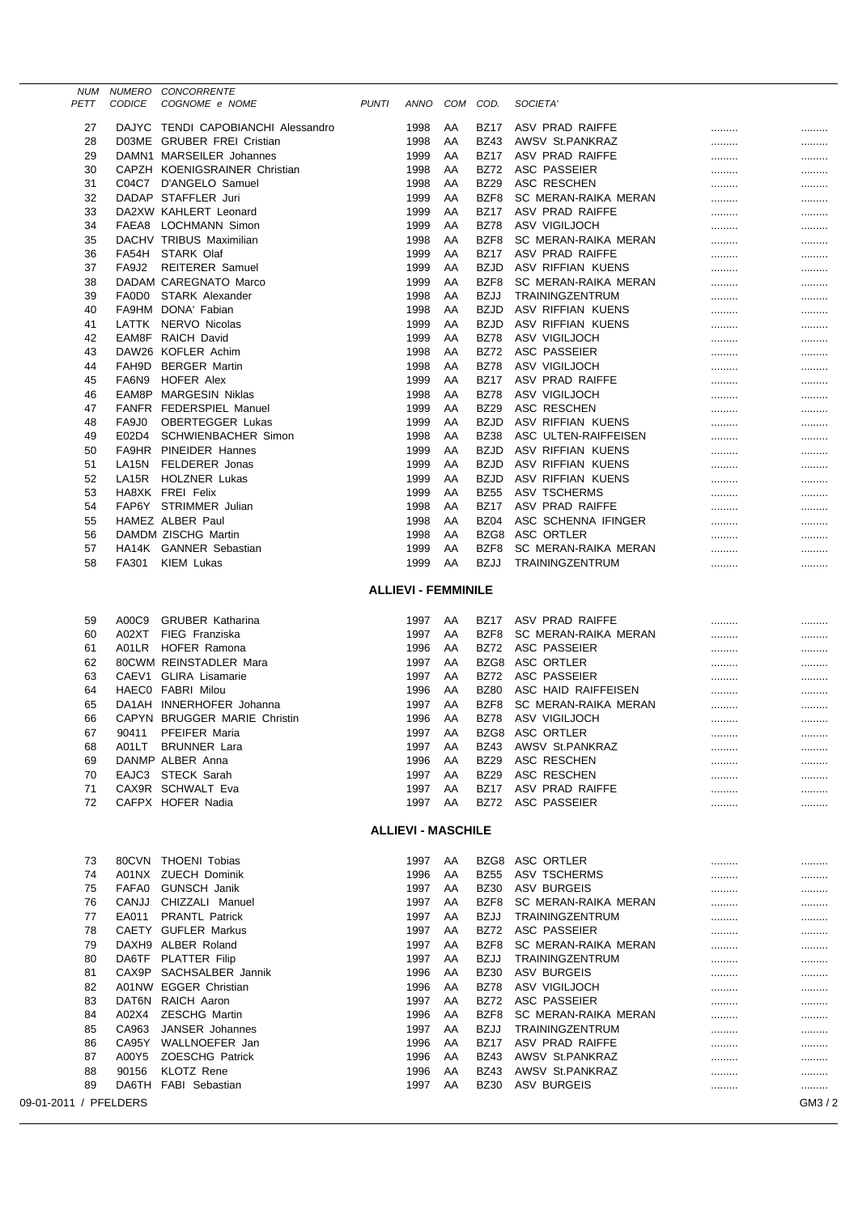|                       | NUM  | NUMERO        | <b>CONCORRENTE</b>                 |              |                            |          |                            |                      |   |       |
|-----------------------|------|---------------|------------------------------------|--------------|----------------------------|----------|----------------------------|----------------------|---|-------|
|                       | PETT | <b>CODICE</b> | COGNOME e NOME                     | <b>PUNTI</b> | ANNO                       | COM      | COD.                       | SOCIETA <sup>®</sup> |   |       |
|                       | 27   |               | DAJYC TENDI CAPOBIANCHI Alessandro |              | 1998                       | AA       | <b>BZ17</b>                | ASV PRAD RAIFFE      |   |       |
|                       | 28   |               | D03ME GRUBER FREI Cristian         |              | 1998                       | AA       | <b>BZ43</b>                | AWSV St.PANKRAZ      |   |       |
|                       | 29   |               | DAMN1 MARSEILER Johannes           |              | 1999                       | AA       | <b>BZ17</b>                | ASV PRAD RAIFFE      |   |       |
|                       | 30   |               | CAPZH KOENIGSRAINER Christian      |              | 1998                       | AA       | <b>BZ72</b>                | <b>ASC PASSEIER</b>  |   |       |
|                       | 31   | C04C7         | D'ANGELO Samuel                    |              | 1998                       | AA       | <b>BZ29</b>                | ASC RESCHEN          |   |       |
|                       | 32   |               | DADAP STAFFLER Juri                |              | 1999                       | AA       | BZF8                       | SC MERAN-RAIKA MERAN |   |       |
|                       | 33   |               | DA2XW KAHLERT Leonard              |              | 1999                       | AA       | <b>BZ17</b>                | ASV PRAD RAIFFE      |   |       |
|                       | 34   |               | FAEA8 LOCHMANN Simon               |              | 1999                       | AA       | <b>BZ78</b>                | ASV VIGILJOCH        |   |       |
|                       | 35   |               | DACHV TRIBUS Maximilian            |              | 1998                       | AA       | BZF8                       | SC MERAN-RAIKA MERAN |   |       |
|                       | 36   |               | FA54H STARK Olaf                   |              | 1999                       | AA       | <b>BZ17</b>                | ASV PRAD RAIFFE      |   |       |
|                       | 37   | FA9J2         | <b>REITERER Samuel</b>             |              | 1999                       | AA       | <b>BZJD</b>                | ASV RIFFIAN KUENS    |   |       |
|                       | 38   |               | DADAM CAREGNATO Marco              |              | 1999                       | AA       | BZF8                       | SC MERAN-RAIKA MERAN |   |       |
|                       | 39   | FA0D0         | STARK Alexander                    |              |                            |          | <b>BZJJ</b>                | TRAININGZENTRUM      |   |       |
|                       | 40   |               | FA9HM DONA' Fabian                 |              | 1998<br>1998               | AA<br>AA | <b>BZJD</b>                | ASV RIFFIAN KUENS    |   |       |
|                       | 41   |               | LATTK NERVO Nicolas                |              | 1999                       | AA       | <b>BZJD</b>                | ASV RIFFIAN KUENS    |   |       |
|                       |      |               | EAM8F RAICH David                  |              |                            |          |                            | ASV VIGILJOCH        |   |       |
|                       | 42   |               |                                    |              | 1999                       | AA       | <b>BZ78</b><br><b>BZ72</b> |                      |   |       |
|                       | 43   |               | DAW26 KOFLER Achim                 |              | 1998                       | AA       |                            | ASC PASSEIER         |   |       |
|                       | 44   | FAH9D         | <b>BERGER Martin</b>               |              | 1998                       | AA       | <b>BZ78</b>                | ASV VIGILJOCH        |   |       |
|                       | 45   | FA6N9         | <b>HOFER Alex</b>                  |              | 1999                       | AA       | <b>BZ17</b>                | ASV PRAD RAIFFE      |   |       |
|                       | 46   | EAM8P         | MARGESIN Niklas                    |              | 1998                       | AA       | <b>BZ78</b>                | ASV VIGILJOCH        |   |       |
|                       | 47   | <b>FANFR</b>  | <b>FEDERSPIEL Manuel</b>           |              | 1999                       | AA       | <b>BZ29</b>                | ASC RESCHEN          |   |       |
|                       | 48   | FA9J0         | <b>OBERTEGGER Lukas</b>            |              | 1999                       | AA       | <b>BZJD</b>                | ASV RIFFIAN KUENS    |   |       |
|                       | 49   | E02D4         | SCHWIENBACHER Simon                |              | 1998                       | AA       | <b>BZ38</b>                | ASC ULTEN-RAIFFEISEN |   |       |
|                       | 50   | FA9HR         | PINEIDER Hannes                    |              | 1999                       | AA       | <b>BZJD</b>                | ASV RIFFIAN KUENS    |   |       |
|                       | 51   | LA15N         | FELDERER Jonas                     |              | 1999                       | AA       | <b>BZJD</b>                | ASV RIFFIAN KUENS    |   |       |
|                       | 52   | LA15R         | <b>HOLZNER Lukas</b>               |              | 1999                       | AA       | <b>BZJD</b>                | ASV RIFFIAN KUENS    |   |       |
|                       | 53   |               | HA8XK FREI Felix                   |              | 1999                       | AA       | <b>BZ55</b>                | ASV TSCHERMS         |   |       |
|                       | 54   |               | FAP6Y STRIMMER Julian              |              | 1998                       | AA       | <b>BZ17</b>                | ASV PRAD RAIFFE      |   |       |
|                       | 55   |               | HAMEZ ALBER Paul                   |              | 1998                       | AA       | BZ04                       | ASC SCHENNA IFINGER  |   |       |
|                       | 56   |               | DAMDM ZISCHG Martin                |              | 1998                       | AA       | BZG8                       | ASC ORTLER           |   |       |
|                       | 57   |               | HA14K GANNER Sebastian             |              | 1999                       | AA       | BZF8                       | SC MERAN-RAIKA MERAN |   |       |
|                       | 58   | FA301         | KIEM Lukas                         |              | 1999                       | AA       | <b>BZJJ</b>                | TRAININGZENTRUM      |   |       |
|                       |      |               |                                    |              |                            |          |                            |                      |   |       |
|                       |      |               |                                    |              | <b>ALLIEVI - FEMMINILE</b> |          |                            |                      |   |       |
|                       |      |               |                                    |              |                            |          |                            |                      |   |       |
|                       | 59   | A00C9         | <b>GRUBER Katharina</b>            |              | 1997                       | AA       | <b>BZ17</b>                | ASV PRAD RAIFFE      | . |       |
|                       | 60   | A02XT         | FIEG Franziska                     |              | 1997                       | AA       | BZF8                       | SC MERAN-RAIKA MERAN | . |       |
|                       | 61   | A01LR         | <b>HOFER Ramona</b>                |              | 1996                       | AA       | <b>BZ72</b>                | ASC PASSEIER         |   |       |
|                       | 62   |               | 80CWM REINSTADLER Mara             |              | 1997                       | AA       | BZG8                       | ASC ORTLER           |   |       |
|                       | 63   | CAEV1         | <b>GLIRA Lisamarie</b>             |              | 1997                       | AA       | <b>BZ72</b>                | ASC PASSEIER         |   |       |
|                       | 64   |               | HAECO FABRI Milou                  |              | 1996                       | AA       | <b>BZ80</b>                | ASC HAID RAIFFEISEN  |   |       |
|                       | 65   |               | DA1AH INNERHOFER Johanna           |              | 1997                       | AA       | BZF8                       | SC MERAN-RAIKA MERAN |   |       |
|                       | 66   |               | CAPYN BRUGGER MARIE Christin       |              | 1996                       | AA       | <b>BZ78</b>                | ASV VIGILJOCH        |   |       |
|                       | 67   | 90411         | PFEIFER Maria                      |              | 1997                       | AA       |                            | BZG8 ASC ORTLER      |   |       |
|                       | 68   |               | A01LT BRUNNER Lara                 |              | 1997                       | AA       | <b>BZ43</b>                | AWSV St.PANKRAZ      |   |       |
|                       | 69   |               | DANMP ALBER Anna                   |              | 1996                       | AA       | <b>BZ29</b>                | ASC RESCHEN          |   |       |
|                       | 70   |               | EAJC3 STECK Sarah                  |              | 1997                       | AA       | <b>BZ29</b>                | ASC RESCHEN          |   |       |
|                       | 71   |               | CAX9R SCHWALT Eva                  |              | 1997                       | AA       | BZ17                       | ASV PRAD RAIFFE      | . |       |
|                       | 72   |               | CAFPX HOFER Nadia                  |              | 1997                       | AA       | <b>BZ72</b>                | ASC PASSEIER         | . |       |
|                       |      |               |                                    |              |                            |          |                            |                      |   |       |
|                       |      |               |                                    |              | <b>ALLIEVI - MASCHILE</b>  |          |                            |                      |   |       |
|                       |      |               |                                    |              |                            |          |                            |                      |   |       |
|                       | 73   |               | 80CVN THOENI Tobias                |              | 1997                       | AA       |                            | BZG8 ASC ORTLER      |   |       |
|                       | 74   |               | A01NX ZUECH Dominik                |              | 1996                       | AA       | <b>BZ55</b>                | ASV TSCHERMS         |   |       |
|                       | 75   | FAFA0         | <b>GUNSCH Janik</b>                |              | 1997                       | AA       | <b>BZ30</b>                | <b>ASV BURGEIS</b>   |   |       |
|                       | 76   | CANJJ         | CHIZZALI Manuel                    |              | 1997                       | AA       | BZF8                       | SC MERAN-RAIKA MERAN |   |       |
|                       | 77   | EA011         | <b>PRANTL Patrick</b>              |              | 1997                       | AA       | <b>BZJJ</b>                | TRAININGZENTRUM      |   |       |
|                       | 78   |               | CAETY GUFLER Markus                |              | 1997                       | AA       | <b>BZ72</b>                | ASC PASSEIER         |   |       |
|                       | 79   |               | DAXH9 ALBER Roland                 |              | 1997                       | AA       | BZF8                       | SC MERAN-RAIKA MERAN |   |       |
|                       | 80   |               | DA6TF PLATTER Filip                |              | 1997                       | AA       | BZJJ                       | TRAININGZENTRUM      |   |       |
|                       | 81   |               | CAX9P SACHSALBER Jannik            |              | 1996                       | AA       | <b>BZ30</b>                | ASV BURGEIS          |   |       |
|                       | 82   |               | A01NW EGGER Christian              |              | 1996                       | AA       | <b>BZ78</b>                | ASV VIGILJOCH        |   |       |
|                       | 83   | DAT6N         | RAICH Aaron                        |              | 1997                       | AA       | <b>BZ72</b>                | ASC PASSEIER         |   |       |
|                       | 84   | A02X4         | <b>ZESCHG Martin</b>               |              | 1996                       | AA       | BZF8                       | SC MERAN-RAIKA MERAN |   |       |
|                       | 85   | CA963         | JANSER Johannes                    |              | 1997                       | AA       | <b>BZJJ</b>                | TRAININGZENTRUM      | . |       |
|                       | 86   | CA95Y         | WALLNOEFER Jan                     |              | 1996                       | AA       | <b>BZ17</b>                | ASV PRAD RAIFFE      |   |       |
|                       | 87   | A00Y5         | <b>ZOESCHG Patrick</b>             |              | 1996                       | AA       | <b>BZ43</b>                | AWSV St.PANKRAZ      | . |       |
|                       | 88   | 90156         | <b>KLOTZ Rene</b>                  |              | 1996                       | AA       | <b>BZ43</b>                | AWSV St.PANKRAZ      |   |       |
|                       | 89   | DA6TH         | <b>FABI</b> Sebastian              |              | 1997                       | AA       | <b>BZ30</b>                | ASV BURGEIS          |   |       |
| 09-01-2011 / PFELDERS |      |               |                                    |              |                            |          |                            |                      |   | GM3/2 |
|                       |      |               |                                    |              |                            |          |                            |                      |   |       |